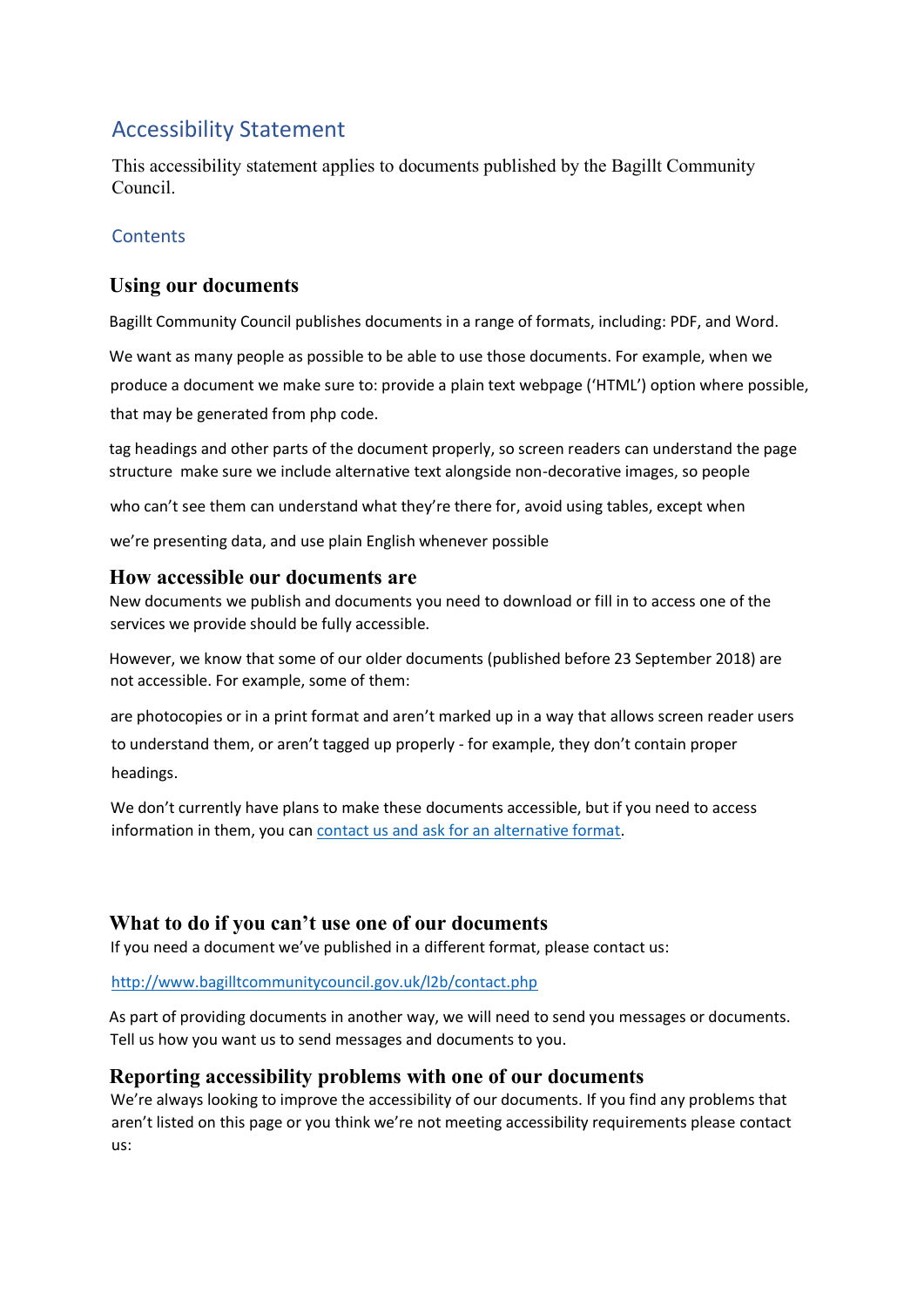# Accessibility Statement

This accessibility statement applies to documents published by the Bagillt Community Council.

### **Contents**

## **Using our documents**

Bagillt Community Council publishes documents in a range of formats, including: PDF, and Word.

We want as many people as possible to be able to use those documents. For example, when we produce a document we make sure to: provide a plain text webpage ('HTML') option where possible, that may be generated from php code.

tag headings and other parts of the document properly, so screen readers can understand the page structure make sure we include alternative text alongside non-decorative images, so people

who can't see them can understand what they're there for, avoid using tables, except when

we're presenting data, and use plain English whenever possible

### **How accessible our documents are**

New documents we publish and documents you need to download or fill in to access one of the services we provide should be fully accessible.

However, we know that some of our older documents (published before 23 September 2018) are not accessible. For example, some of them:

are photocopies or in a print format and aren't marked up in a way that allows screen reader users to understand them, or aren't tagged up properly - for example, they don't contain proper headings.

We don't currently have plans to make these documents accessible, but if you need to access information in them, you can [contact us and ask for an alternative format.](http://www.bagilltcommunitycouncil.gov.uk/l2b/contact.php) 

## **What to do if you can't use one of our documents**

If you need a document we've published in a different format, please contact us:

<http://www.bagilltcommunitycouncil.gov.uk/l2b/contact.php>

As part of providing documents in another way, we will need to send you messages or documents. Tell us how you want us to send messages and documents to you.

### **Reporting accessibility problems with one of our documents**

We're always looking to improve the accessibility of our documents. If you find any problems that aren't listed on this page or you think we're not meeting accessibility requirements please contact us: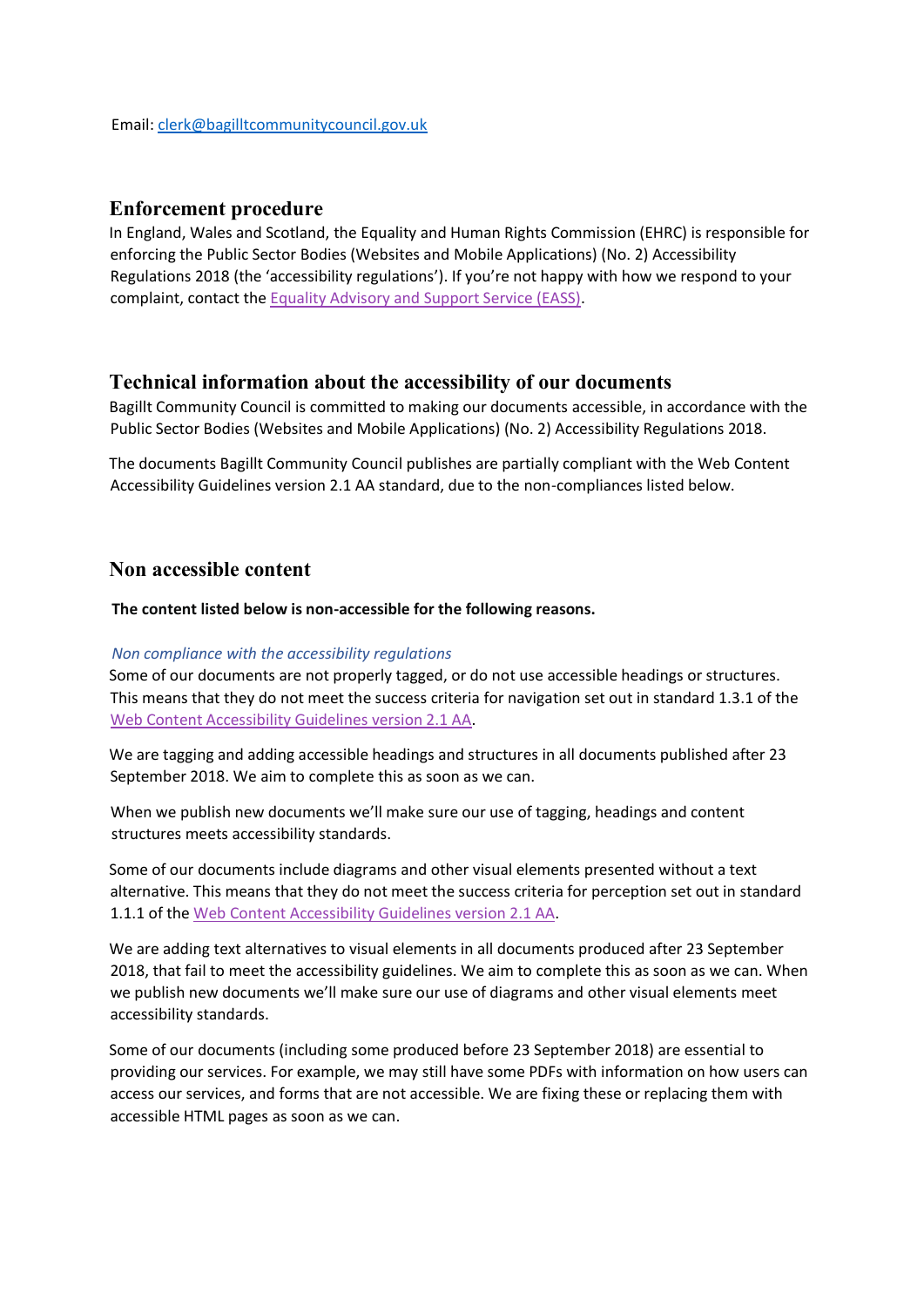#### **Enforcement procedure**

In England, Wales and Scotland, the Equality and Human Rights Commission (EHRC) is responsible for enforcing the Public Sector Bodies (Websites and Mobile Applications) (No. 2) Accessibility Regulations 2018 (the 'accessibility regulations'). If you're not happy with how we respond to your complaint, contact the [Equality](https://www.equalityadvisoryservice.com/) [Advisory](https://www.equalityadvisoryservice.com/) [and](https://www.equalityadvisoryservice.com/) [Support](https://www.equalityadvisoryservice.com/) [Service](https://www.equalityadvisoryservice.com/) [\(EASS\).](https://www.equalityadvisoryservice.com/)

#### **Technical information about the accessibility of our documents**

Bagillt Community Council is committed to making our documents accessible, in accordance with the Public Sector Bodies (Websites and Mobile Applications) (No. 2) Accessibility Regulations 2018.

The documents Bagillt Community Council publishes are partially compliant with the Web Content Accessibility Guidelines version 2.1 AA standard, due to the non-compliances listed below.

### **Non accessible content**

#### **The content listed below is non-accessible for the following reasons.**

#### *Non compliance with the accessibility regulations*

Some of our documents are not properly tagged, or do not use accessible headings or structures. This means that they do not meet the success criteria for navigation set out in standard 1.3.1 of th[e](http://www.w3.org/TR/WCAG21/) [Web](http://www.w3.org/TR/WCAG21/) [Content](http://www.w3.org/TR/WCAG21/) [Accessibility](http://www.w3.org/TR/WCAG21/) [Guidelines](http://www.w3.org/TR/WCAG21/) [version](http://www.w3.org/TR/WCAG21/) [2.1](http://www.w3.org/TR/WCAG21/) [AA.](http://www.w3.org/TR/WCAG21/)

We are tagging and adding accessible headings and structures in all documents published after 23 September 2018. We aim to complete this as soon as we can.

When we publish new documents we'll make sure our use of tagging, headings and content structures meets accessibility standards.

Some of our documents include diagrams and other visual elements presented without a text alternative. This means that they do not meet the success criteria for perception set out in standard 1.1.1 of the [Web](http://www.w3.org/TR/WCAG21/) [Content](http://www.w3.org/TR/WCAG21/) [Accessibility](http://www.w3.org/TR/WCAG21/) [Guidelines](http://www.w3.org/TR/WCAG21/) [version](http://www.w3.org/TR/WCAG21/) [2.1](http://www.w3.org/TR/WCAG21/) [AA.](http://www.w3.org/TR/WCAG21/)

We are adding text alternatives to visual elements in all documents produced after 23 September 2018, that fail to meet the accessibility guidelines. We aim to complete this as soon as we can. When we publish new documents we'll make sure our use of diagrams and other visual elements meet accessibility standards.

Some of our documents (including some produced before 23 September 2018) are essential to providing our services. For example, we may still have some PDFs with information on how users can access our services, and forms that are not accessible. We are fixing these or replacing them with accessible HTML pages as soon as we can.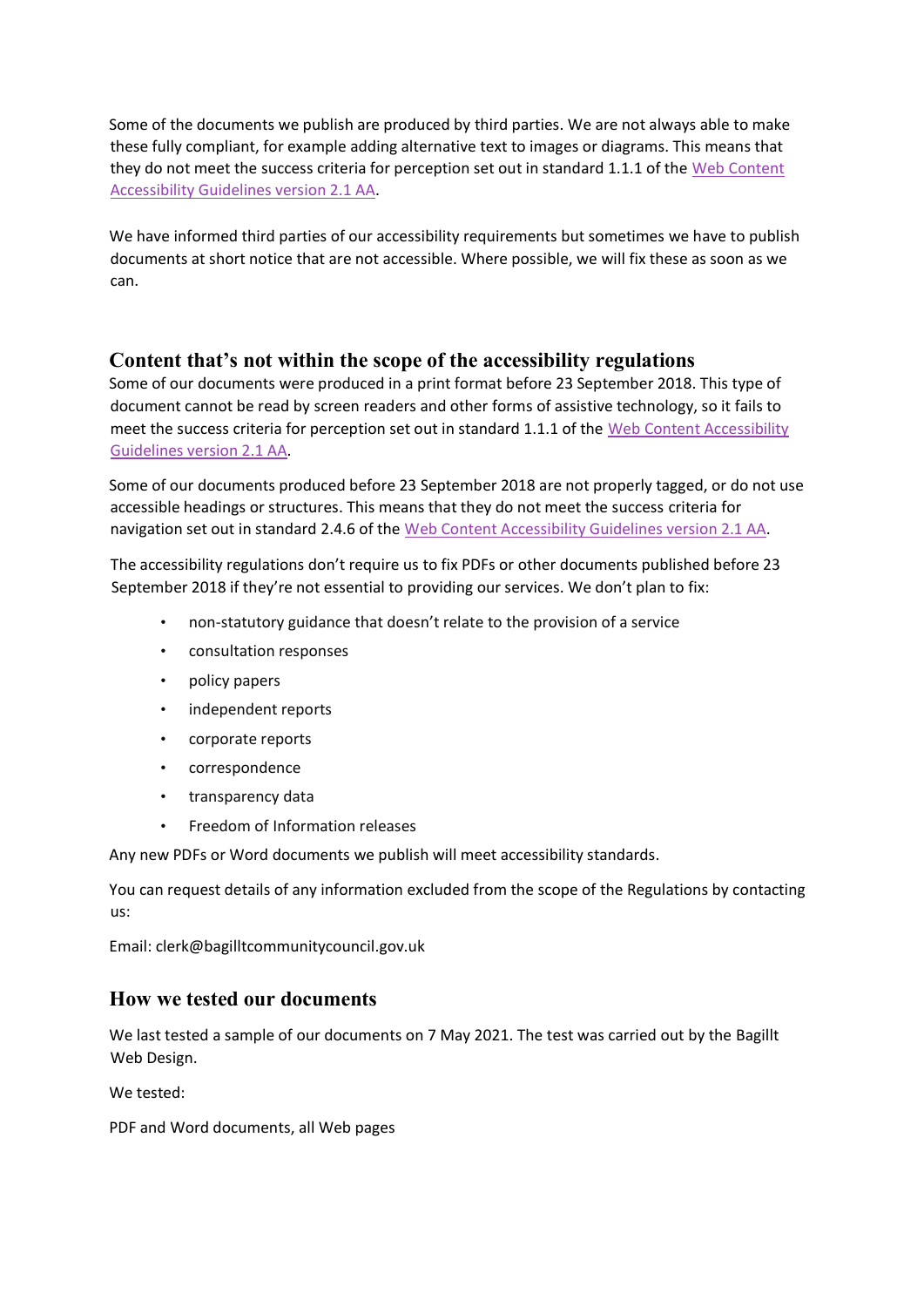Some of the documents we publish are produced by third parties. We are not always able to make these fully compliant, for example adding alternative text to images or diagrams. This means that they do not meet the success criteria for perception set out in standard 1.1.1 of th[e](https://www.w3.org/TR/WCAG21) [Web](https://www.w3.org/TR/WCAG21) [Content](https://www.w3.org/TR/WCAG21) [Accessibility](https://www.w3.org/TR/WCAG21) [Guidelines](https://www.w3.org/TR/WCAG21) [version](https://www.w3.org/TR/WCAG21) [2.1](https://www.w3.org/TR/WCAG21) [AA.](https://www.w3.org/TR/WCAG21)

We have informed third parties of our accessibility requirements but sometimes we have to publish documents at short notice that are not accessible. Where possible, we will fix these as soon as we can.

### **Content that's not within the scope of the accessibility regulations**

Some of our documents were produced in a print format before 23 September 2018. This type of document cannot be read by screen readers and other forms of assistive technology, so it fails to meet the success criteria for perception set out in standard 1.1.1 of the [Web](http://www.w3.org/TR/WCAG21/) [Content](http://www.w3.org/TR/WCAG21/) [Accessibility](http://www.w3.org/TR/WCAG21/) [Guidelines](http://www.w3.org/TR/WCAG21/) [version](http://www.w3.org/TR/WCAG21/) [2.1](http://www.w3.org/TR/WCAG21/) [AA.](http://www.w3.org/TR/WCAG21/)

Some of our documents produced before 23 September 2018 are not properly tagged, or do not use accessible headings or structures. This means that they do not meet the success criteria for navigation set out in standard 2.4.6 of the [Web](http://www.w3.org/TR/WCAG21/) [Content](http://www.w3.org/TR/WCAG21/) [Accessibility](http://www.w3.org/TR/WCAG21/) [Guidelines](http://www.w3.org/TR/WCAG21/) [version](http://www.w3.org/TR/WCAG21/) [2.1](http://www.w3.org/TR/WCAG21/) [AA.](http://www.w3.org/TR/WCAG21/)

The accessibility regulations don't require us to fix PDFs or other documents published before 23 September 2018 if they're not essential to providing our services. We don't plan to fix:

- non-statutory guidance that doesn't relate to the provision of a service
- consultation responses
- policy papers
- independent reports
- corporate reports
- correspondence
- transparency data
- Freedom of Information releases

Any new PDFs or Word documents we publish will meet accessibility standards.

You can request details of any information excluded from the scope of the Regulations by contacting us:

Email: clerk@bagilltcommunitycouncil.gov.uk

### **How we tested our documents**

We last tested a sample of our documents on 7 May 2021. The test was carried out by the Bagillt Web Design.

We tested:

PDF and Word documents, all Web pages